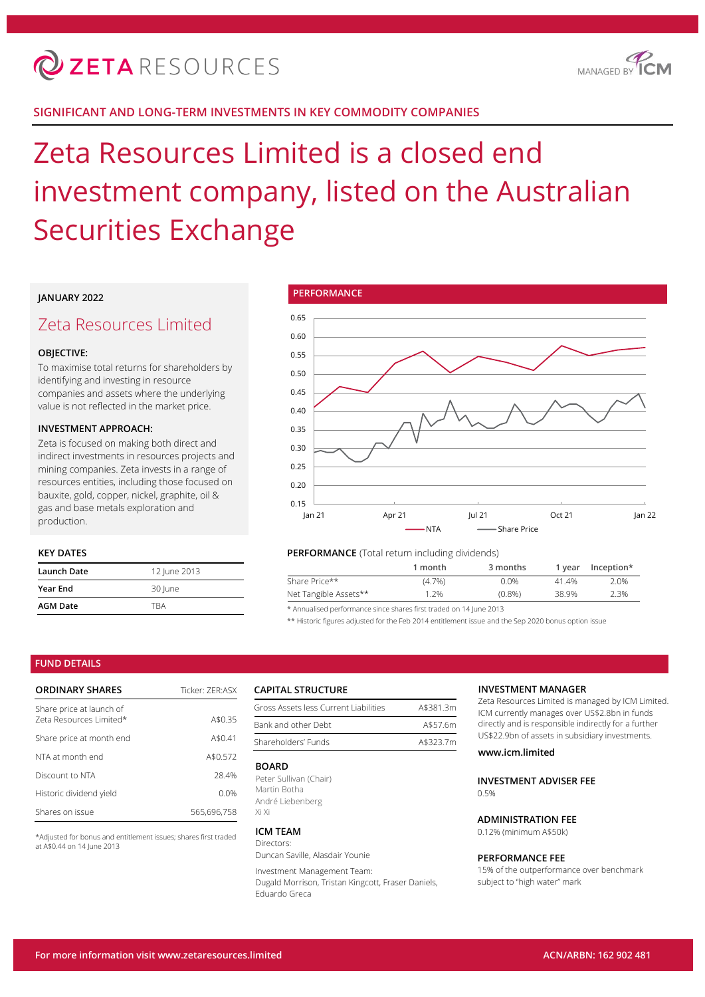

## **SIGNIFICANT AND LONG-TERM INVESTMENTS IN KEY COMMODITY COMPANIES**

# Zeta Resources Limited is a closed end investment company, listed on the Australian Securities Exchange

## **JANUARY 2022**

## Zeta Resources Limited

## **OBJECTIVE:**

To maximise total returns for shareholders by identifying and investing in resource companies and assets where the underlying value is not reflected in the market price.

## **INVESTMENT APPROACH:**

Zeta is focused on making both direct and indirect investments in resources projects and mining companies. Zeta invests in a range of resources entities, including those focused on bauxite, gold, copper, nickel, graphite, oil & gas and base metals exploration and production.

## **KEY DATES**

| Launch Date     | 12 June 2013 |
|-----------------|--------------|
| Year End        | 30 June      |
| <b>AGM Date</b> | TRA          |



## **PERFORMANCE** (Total return including dividends)

|                       | 1 month   | 3 months  | 1 vear | $Inception*$ |
|-----------------------|-----------|-----------|--------|--------------|
| Share Price**         | $(4.7\%)$ | 0.0%      | 41.4%  | 2.0%         |
| Net Tangible Assets** | 1.2%      | $(0.8\%)$ | 38.9%  | 2.3%         |
|                       |           |           |        |              |

\* Annualised performance since shares first traded on 14 June 2013

\*\* Historic figures adjusted for the Feb 2014 entitlement issue and the Sep 2020 bonus option issue

## **FUND DETAILS**

| <b>ORDINARY SHARES</b>                              | Ticker: 7FR:ASX |  |  |
|-----------------------------------------------------|-----------------|--|--|
| Share price at launch of<br>Zeta Resources Limited* | A\$0.35         |  |  |
| Share price at month end                            | A\$0.41         |  |  |
| NTA at month end                                    | A\$0.572        |  |  |
| Discount to NTA                                     | 28.4%           |  |  |
| Historic dividend yield                             | 0.0%            |  |  |
| Shares on issue                                     | 565.696.758     |  |  |

\*Adjusted for bonus and entitlement issues; shares first traded at A\$0.44 on 14 June 2013

## **CAPITAL STRUCTURE**

| Gross Assets less Current Liabilities | A\$381.3m |
|---------------------------------------|-----------|
| Bank and other Debt                   | A\$57.6m  |
| Shareholders' Funds                   | A\$323.7m |

#### **BOARD**

Peter Sullivan (Chair) Martin Botha André Liebenberg Xi Xi

#### **ICM TEAM** Directors:

Duncan Saville, Alasdair Younie

Investment Management Team: Dugald Morrison, Tristan Kingcott, Fraser Daniels, Eduardo Greca

#### **INVESTMENT MANAGER**

Zeta Resources Limited is managed by ICM Limited. ICM currently manages over US\$2.8bn in funds directly and is responsible indirectly for a further US\$22.9bn of assets in subsidiary investments.

## **www.icm.limited**

**INVESTMENT ADVISER FEE**  $0.5%$ 

## **ADMINISTRATION FEE**

0.12% (minimum A\$50k)

#### **PERFORMANCE FEE**

15% of the outperformance over benchmark subject to "high water" mark